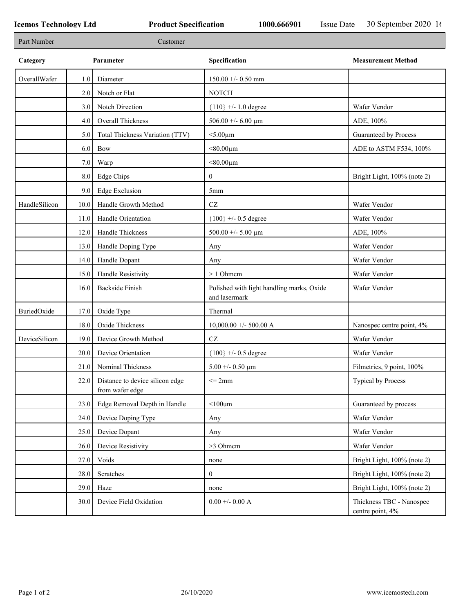r

| Part Number   |      | Customer                                                |                                                            |                                              |
|---------------|------|---------------------------------------------------------|------------------------------------------------------------|----------------------------------------------|
| Category      |      | Parameter                                               | Specification                                              | <b>Measurement Method</b>                    |
| OverallWafer  | 1.0  | Diameter                                                | $150.00 +/- 0.50$ mm                                       |                                              |
|               | 2.0  | Notch or Flat                                           | <b>NOTCH</b>                                               |                                              |
|               | 3.0  | Notch Direction                                         | ${110}$ +/- 1.0 degree                                     | Wafer Vendor                                 |
|               | 4.0  | Overall Thickness                                       | 506.00 +/- 6.00 $\mu$ m                                    | ADE, 100%                                    |
|               | 5.0  | Total Thickness Variation (TTV)                         | $<$ 5.00 $\mu$ m                                           | Guaranteed by Process                        |
|               | 6.0  | Bow                                                     | $< 80.00 \mu m$                                            | ADE to ASTM F534, 100%                       |
|               | 7.0  | Warp                                                    | $< 80.00 \mu m$                                            |                                              |
|               | 8.0  | Edge Chips                                              | $\overline{0}$                                             | Bright Light, 100% (note 2)                  |
|               | 9.0  | Edge Exclusion                                          | 5 <sub>mm</sub>                                            |                                              |
| HandleSilicon | 10.0 | Handle Growth Method                                    | $\operatorname{CZ}$                                        | Wafer Vendor                                 |
|               | 11.0 | Handle Orientation                                      | ${100}$ +/- 0.5 degree                                     | Wafer Vendor                                 |
|               | 12.0 | Handle Thickness                                        | 500.00 +/- 5.00 $\mu$ m                                    | ADE, 100%                                    |
|               | 13.0 | Handle Doping Type                                      | Any                                                        | Wafer Vendor                                 |
|               | 14.0 | Handle Dopant                                           | Any                                                        | Wafer Vendor                                 |
|               | 15.0 | Handle Resistivity                                      | $> 1$ Ohmem                                                | Wafer Vendor                                 |
|               | 16.0 | <b>Backside Finish</b>                                  | Polished with light handling marks, Oxide<br>and lasermark | Wafer Vendor                                 |
| BuriedOxide   | 17.0 | Oxide Type                                              | Thermal                                                    |                                              |
|               | 18.0 | Oxide Thickness                                         | $10,000.00 +/- 500.00 A$                                   | Nanospec centre point, 4%                    |
| DeviceSilicon | 19.0 | Device Growth Method                                    | CZ                                                         | Wafer Vendor                                 |
|               | 20.0 | Device Orientation                                      | ${100}$ +/- 0.5 degree                                     | Wafer Vendor                                 |
|               | 21.0 | Nominal Thickness                                       | 5.00 +/- 0.50 $\mu$ m                                      | Filmetrics, 9 point, 100%                    |
|               |      | 22.0 Distance to device silicon edge<br>from wafer edge | $\leq$ 2mm                                                 | Typical by Process                           |
|               | 23.0 | Edge Removal Depth in Handle                            | $<$ 100 $um$                                               | Guaranteed by process                        |
|               | 24.0 | Device Doping Type                                      | Any                                                        | Wafer Vendor                                 |
|               | 25.0 | Device Dopant                                           | Any                                                        | Wafer Vendor                                 |
|               | 26.0 | Device Resistivity                                      | >3 Ohmem                                                   | Wafer Vendor                                 |
|               | 27.0 | Voids                                                   | none                                                       | Bright Light, 100% (note 2)                  |
|               | 28.0 | Scratches                                               | $\overline{0}$                                             | Bright Light, 100% (note 2)                  |
|               | 29.0 | Haze                                                    | none                                                       | Bright Light, 100% (note 2)                  |
|               | 30.0 | Device Field Oxidation                                  | $0.00 + 0.00$ A                                            | Thickness TBC - Nanospec<br>centre point, 4% |